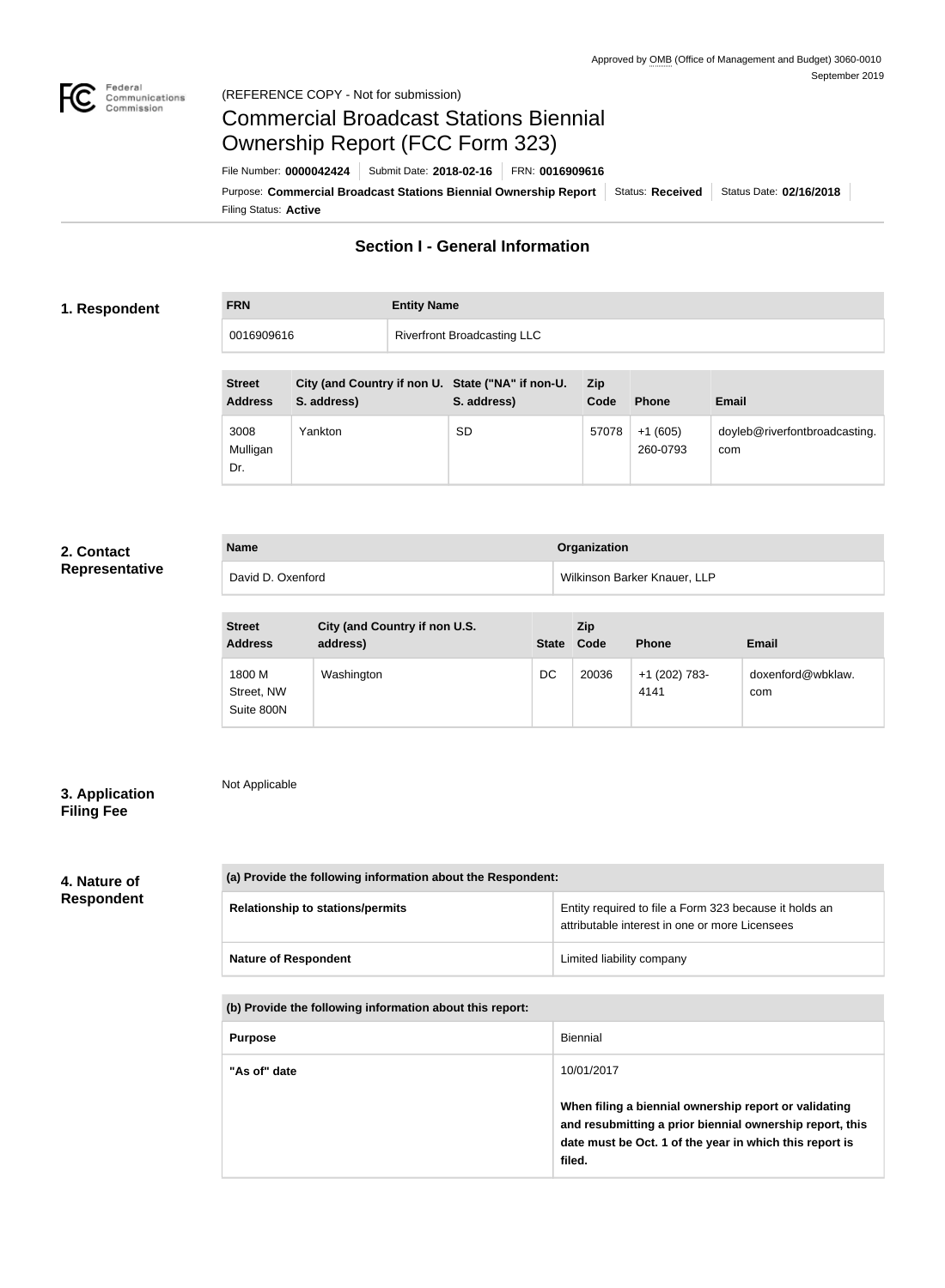

#### Federal<br>Communications<br>Commission (REFERENCE COPY - Not for submission)

## Commercial Broadcast Stations Biennial Ownership Report (FCC Form 323)

Filing Status: **Active** Purpose: Commercial Broadcast Stations Biennial Ownership Report Status: Received Status Date: 02/16/2018 File Number: **0000042424** Submit Date: **2018-02-16** FRN: **0016909616**

## **Section I - General Information**

#### **1. Respondent**

# **FRN Entity Name** 0016909616 Riverfront Broadcasting LLC

| <b>Street</b><br><b>Address</b> | City (and Country if non U. State ("NA" if non-U.<br>S. address) | S. address) | <b>Zip</b><br>Code | <b>Phone</b>          | <b>Email</b>                         |
|---------------------------------|------------------------------------------------------------------|-------------|--------------------|-----------------------|--------------------------------------|
| 3008<br>Mulligan<br>Dr.         | Yankton                                                          | <b>SD</b>   | 57078              | $+1(605)$<br>260-0793 | doyleb@riverfontbroadcasting.<br>com |

#### **2. Contact Representative**

| <b>Name</b>       | Organization                 |
|-------------------|------------------------------|
| David D. Oxenford | Wilkinson Barker Knauer, LLP |

| <b>Street</b><br><b>Address</b>    | City (and Country if non U.S.<br>address) | <b>State</b> | <b>Zip</b><br>Code | <b>Phone</b>          | <b>Email</b>             |
|------------------------------------|-------------------------------------------|--------------|--------------------|-----------------------|--------------------------|
| 1800 M<br>Street, NW<br>Suite 800N | Washington                                | DC           | 20036              | +1 (202) 783-<br>4141 | doxenford@wbklaw.<br>com |

#### **3. Application Filing Fee**

Not Applicable

### **4. Nature of Respondent**

| (a) Provide the following information about the Respondent: |                                                                                                          |  |  |
|-------------------------------------------------------------|----------------------------------------------------------------------------------------------------------|--|--|
| <b>Relationship to stations/permits</b>                     | Entity required to file a Form 323 because it holds an<br>attributable interest in one or more Licensees |  |  |
| <b>Nature of Respondent</b>                                 | Limited liability company                                                                                |  |  |

**(b) Provide the following information about this report:**

| <b>Purpose</b> | Biennial                                                                                                                                                                               |
|----------------|----------------------------------------------------------------------------------------------------------------------------------------------------------------------------------------|
| "As of" date   | 10/01/2017                                                                                                                                                                             |
|                | When filing a biennial ownership report or validating<br>and resubmitting a prior biennial ownership report, this<br>date must be Oct. 1 of the year in which this report is<br>filed. |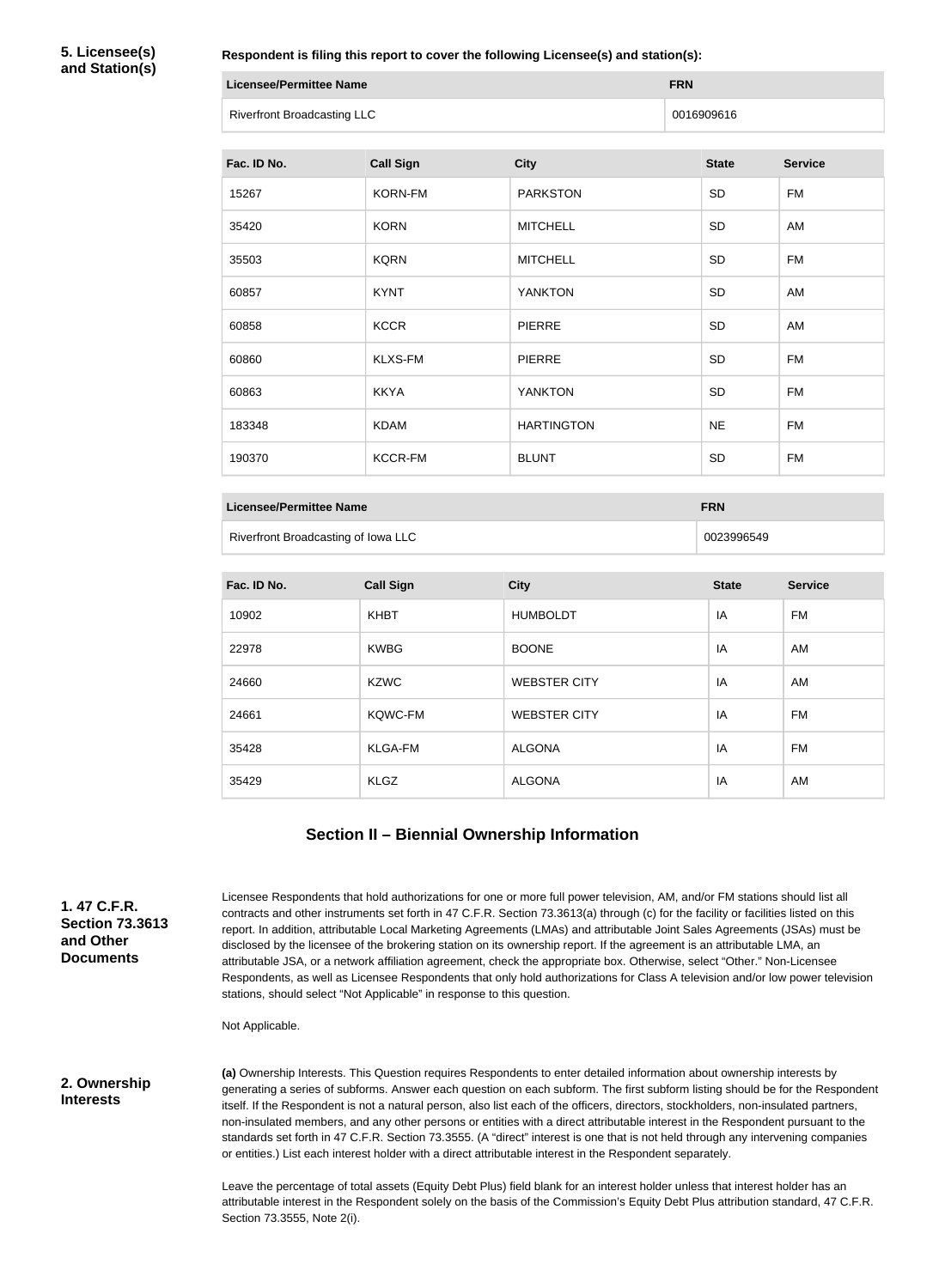**5. Licensee(s) and Station(s)**

**Respondent is filing this report to cover the following Licensee(s) and station(s):**

| Licensee/Permittee Name            | <b>FRN</b> |
|------------------------------------|------------|
| <b>Riverfront Broadcasting LLC</b> | 0016909616 |

| Fac. ID No. | <b>Call Sign</b> | <b>City</b>       | <b>State</b> | <b>Service</b> |
|-------------|------------------|-------------------|--------------|----------------|
| 15267       | <b>KORN-FM</b>   | <b>PARKSTON</b>   | <b>SD</b>    | <b>FM</b>      |
| 35420       | <b>KORN</b>      | <b>MITCHELL</b>   | SD           | AM             |
| 35503       | <b>KQRN</b>      | <b>MITCHELL</b>   | <b>SD</b>    | <b>FM</b>      |
| 60857       | <b>KYNT</b>      | <b>YANKTON</b>    | <b>SD</b>    | AM             |
| 60858       | <b>KCCR</b>      | <b>PIERRE</b>     | <b>SD</b>    | AM             |
| 60860       | <b>KLXS-FM</b>   | <b>PIERRE</b>     | <b>SD</b>    | <b>FM</b>      |
| 60863       | <b>KKYA</b>      | <b>YANKTON</b>    | <b>SD</b>    | <b>FM</b>      |
| 183348      | <b>KDAM</b>      | <b>HARTINGTON</b> | <b>NE</b>    | <b>FM</b>      |
| 190370      | <b>KCCR-FM</b>   | <b>BLUNT</b>      | SD           | <b>FM</b>      |

**Licensee/Permittee Name FRN**

Riverfront Broadcasting of Iowa LLC **CONSERVIATION** 0023996549

| Fac. ID No. | <b>Call Sign</b> | <b>City</b>         | <b>State</b> | <b>Service</b> |
|-------------|------------------|---------------------|--------------|----------------|
| 10902       | <b>KHBT</b>      | <b>HUMBOLDT</b>     | IA           | FM             |
| 22978       | <b>KWBG</b>      | <b>BOONE</b>        | IA           | AM             |
| 24660       | <b>KZWC</b>      | <b>WEBSTER CITY</b> | IA           | AM             |
| 24661       | <b>KQWC-FM</b>   | <b>WEBSTER CITY</b> | IA           | <b>FM</b>      |
| 35428       | <b>KLGA-FM</b>   | <b>ALGONA</b>       | IA           | <b>FM</b>      |
| 35429       | <b>KLGZ</b>      | <b>ALGONA</b>       | IA           | AM             |

#### **Section II – Biennial Ownership Information**

**1. 47 C.F.R. Section 73.3613 and Other Documents**

Licensee Respondents that hold authorizations for one or more full power television, AM, and/or FM stations should list all contracts and other instruments set forth in 47 C.F.R. Section 73.3613(a) through (c) for the facility or facilities listed on this report. In addition, attributable Local Marketing Agreements (LMAs) and attributable Joint Sales Agreements (JSAs) must be disclosed by the licensee of the brokering station on its ownership report. If the agreement is an attributable LMA, an attributable JSA, or a network affiliation agreement, check the appropriate box. Otherwise, select "Other." Non-Licensee Respondents, as well as Licensee Respondents that only hold authorizations for Class A television and/or low power television stations, should select "Not Applicable" in response to this question.

Not Applicable.

#### **2. Ownership Interests**

**(a)** Ownership Interests. This Question requires Respondents to enter detailed information about ownership interests by generating a series of subforms. Answer each question on each subform. The first subform listing should be for the Respondent itself. If the Respondent is not a natural person, also list each of the officers, directors, stockholders, non-insulated partners, non-insulated members, and any other persons or entities with a direct attributable interest in the Respondent pursuant to the standards set forth in 47 C.F.R. Section 73.3555. (A "direct" interest is one that is not held through any intervening companies or entities.) List each interest holder with a direct attributable interest in the Respondent separately.

Leave the percentage of total assets (Equity Debt Plus) field blank for an interest holder unless that interest holder has an attributable interest in the Respondent solely on the basis of the Commission's Equity Debt Plus attribution standard, 47 C.F.R. Section 73.3555, Note 2(i).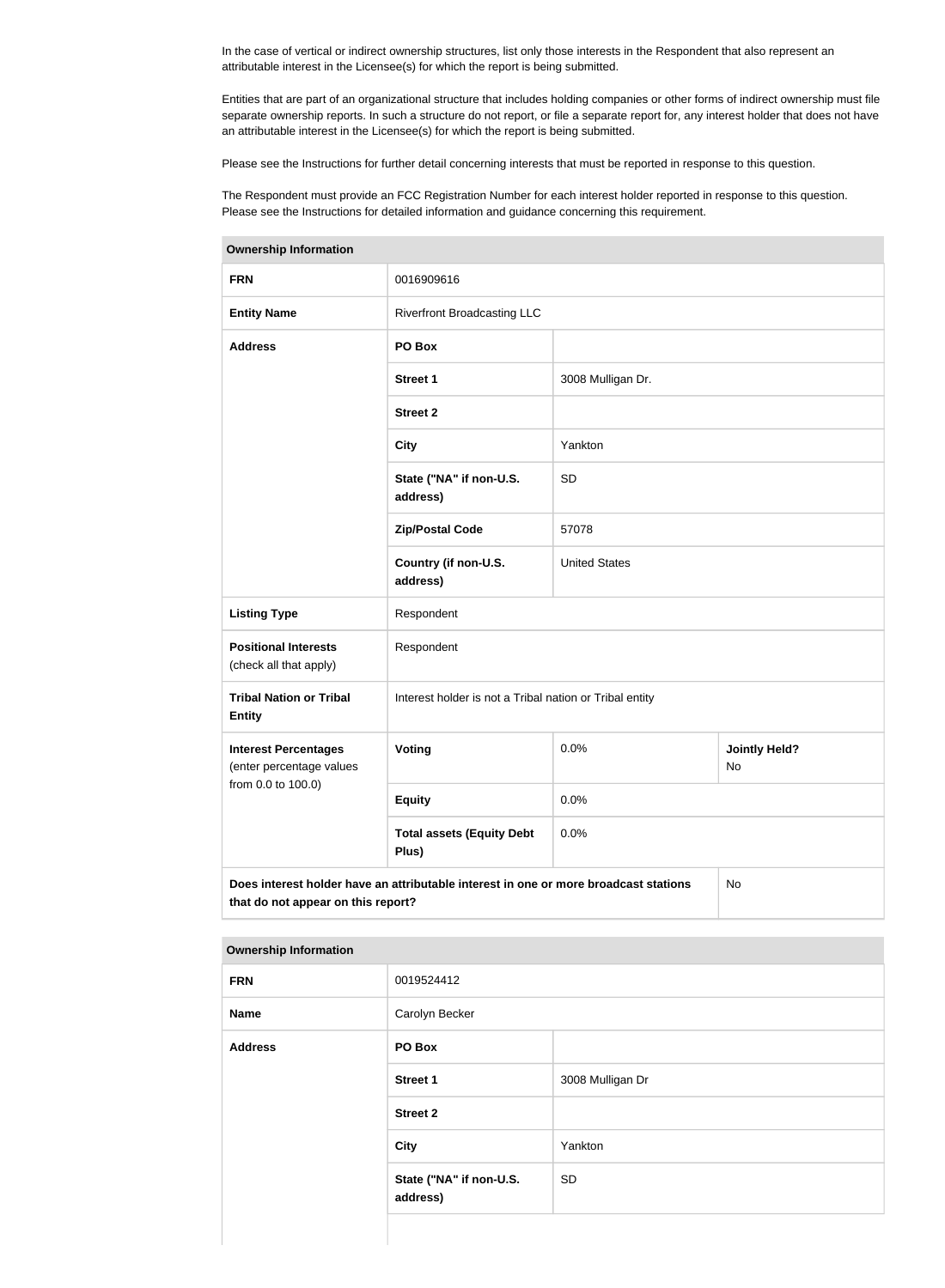In the case of vertical or indirect ownership structures, list only those interests in the Respondent that also represent an attributable interest in the Licensee(s) for which the report is being submitted.

Entities that are part of an organizational structure that includes holding companies or other forms of indirect ownership must file separate ownership reports. In such a structure do not report, or file a separate report for, any interest holder that does not have an attributable interest in the Licensee(s) for which the report is being submitted.

Please see the Instructions for further detail concerning interests that must be reported in response to this question.

The Respondent must provide an FCC Registration Number for each interest holder reported in response to this question. Please see the Instructions for detailed information and guidance concerning this requirement.

| <b>Ownership Information</b>                                                                                                     |                                                         |                      |                            |  |
|----------------------------------------------------------------------------------------------------------------------------------|---------------------------------------------------------|----------------------|----------------------------|--|
| <b>FRN</b>                                                                                                                       | 0016909616                                              |                      |                            |  |
| <b>Entity Name</b>                                                                                                               | <b>Riverfront Broadcasting LLC</b>                      |                      |                            |  |
| <b>Address</b>                                                                                                                   | PO Box                                                  |                      |                            |  |
|                                                                                                                                  | <b>Street 1</b>                                         | 3008 Mulligan Dr.    |                            |  |
|                                                                                                                                  | <b>Street 2</b>                                         |                      |                            |  |
|                                                                                                                                  | <b>City</b>                                             | Yankton              |                            |  |
|                                                                                                                                  | State ("NA" if non-U.S.<br>address)                     | <b>SD</b>            |                            |  |
|                                                                                                                                  | <b>Zip/Postal Code</b>                                  | 57078                |                            |  |
|                                                                                                                                  | Country (if non-U.S.<br>address)                        | <b>United States</b> |                            |  |
| <b>Listing Type</b>                                                                                                              | Respondent                                              |                      |                            |  |
| <b>Positional Interests</b><br>(check all that apply)                                                                            | Respondent                                              |                      |                            |  |
| <b>Tribal Nation or Tribal</b><br><b>Entity</b>                                                                                  | Interest holder is not a Tribal nation or Tribal entity |                      |                            |  |
| <b>Interest Percentages</b><br>(enter percentage values                                                                          | Voting                                                  | 0.0%                 | <b>Jointly Held?</b><br>No |  |
| from 0.0 to 100.0)                                                                                                               | <b>Equity</b>                                           | 0.0%                 |                            |  |
|                                                                                                                                  | <b>Total assets (Equity Debt</b><br>Plus)               | 0.0%                 |                            |  |
| Does interest holder have an attributable interest in one or more broadcast stations<br>No<br>that do not appear on this report? |                                                         |                      |                            |  |

| <b>Ownership Information</b> |                                     |                  |  |  |
|------------------------------|-------------------------------------|------------------|--|--|
| <b>FRN</b>                   | 0019524412                          |                  |  |  |
| <b>Name</b>                  | Carolyn Becker                      |                  |  |  |
| <b>Address</b>               | PO Box                              |                  |  |  |
|                              | <b>Street 1</b>                     | 3008 Mulligan Dr |  |  |
|                              | <b>Street 2</b>                     |                  |  |  |
|                              | <b>City</b>                         | Yankton          |  |  |
|                              | State ("NA" if non-U.S.<br>address) | <b>SD</b>        |  |  |
|                              |                                     |                  |  |  |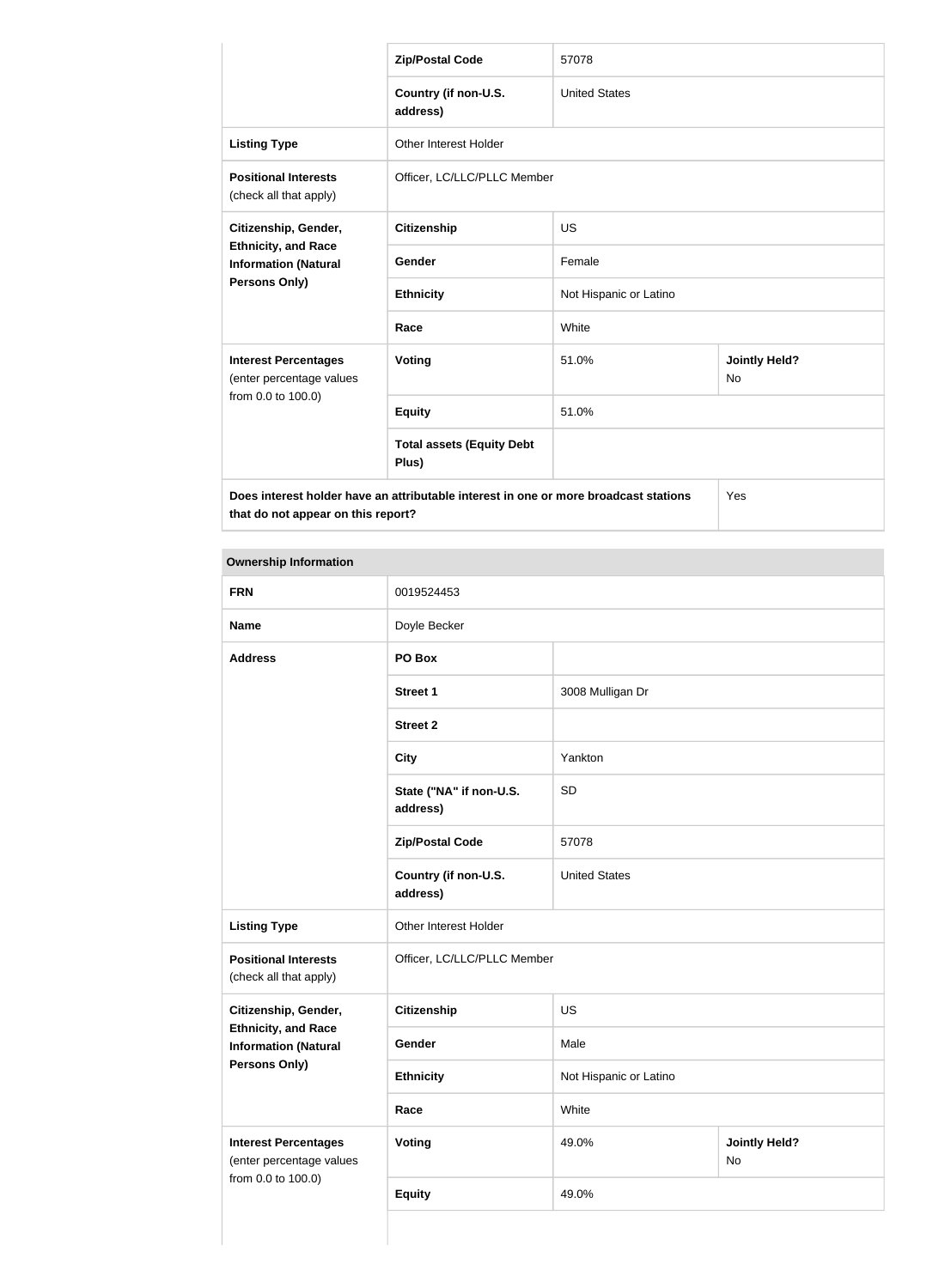|                                                                                      | <b>Zip/Postal Code</b>                    | 57078                  |                            |  |
|--------------------------------------------------------------------------------------|-------------------------------------------|------------------------|----------------------------|--|
|                                                                                      | Country (if non-U.S.<br>address)          | <b>United States</b>   |                            |  |
| <b>Listing Type</b>                                                                  | <b>Other Interest Holder</b>              |                        |                            |  |
| <b>Positional Interests</b><br>(check all that apply)                                | Officer, LC/LLC/PLLC Member               |                        |                            |  |
| Citizenship, Gender,                                                                 | <b>Citizenship</b>                        | <b>US</b>              |                            |  |
| <b>Ethnicity, and Race</b><br><b>Information (Natural</b>                            | Gender                                    | Female                 |                            |  |
| <b>Persons Only)</b>                                                                 | <b>Ethnicity</b>                          | Not Hispanic or Latino |                            |  |
|                                                                                      | Race                                      | White                  |                            |  |
| <b>Interest Percentages</b><br>(enter percentage values                              | Voting                                    | 51.0%                  | <b>Jointly Held?</b><br>No |  |
| from 0.0 to 100.0)                                                                   | <b>Equity</b>                             | 51.0%                  |                            |  |
|                                                                                      | <b>Total assets (Equity Debt</b><br>Plus) |                        |                            |  |
| Does interest holder have an attributable interest in one or more broadcast stations |                                           |                        | Yes                        |  |

**that do not appear on this report?**

| <b>Ownership Information</b>                              |                                     |                        |                            |  |
|-----------------------------------------------------------|-------------------------------------|------------------------|----------------------------|--|
| <b>FRN</b>                                                | 0019524453                          |                        |                            |  |
| <b>Name</b>                                               | Doyle Becker                        |                        |                            |  |
| <b>Address</b>                                            | PO Box                              |                        |                            |  |
|                                                           | <b>Street 1</b>                     | 3008 Mulligan Dr       |                            |  |
|                                                           | <b>Street 2</b>                     |                        |                            |  |
|                                                           | <b>City</b>                         | Yankton                |                            |  |
|                                                           | State ("NA" if non-U.S.<br>address) | SD                     |                            |  |
|                                                           | <b>Zip/Postal Code</b>              | 57078                  |                            |  |
|                                                           | Country (if non-U.S.<br>address)    | <b>United States</b>   |                            |  |
| <b>Listing Type</b>                                       | Other Interest Holder               |                        |                            |  |
| <b>Positional Interests</b><br>(check all that apply)     | Officer, LC/LLC/PLLC Member         |                        |                            |  |
| Citizenship, Gender,                                      | <b>Citizenship</b>                  | <b>US</b>              |                            |  |
| <b>Ethnicity, and Race</b><br><b>Information (Natural</b> | Gender                              | Male                   |                            |  |
| Persons Only)                                             | <b>Ethnicity</b>                    | Not Hispanic or Latino |                            |  |
|                                                           | Race                                | White                  |                            |  |
| <b>Interest Percentages</b><br>(enter percentage values   | <b>Voting</b>                       | 49.0%                  | <b>Jointly Held?</b><br>No |  |
| from 0.0 to 100.0)                                        | <b>Equity</b>                       | 49.0%                  |                            |  |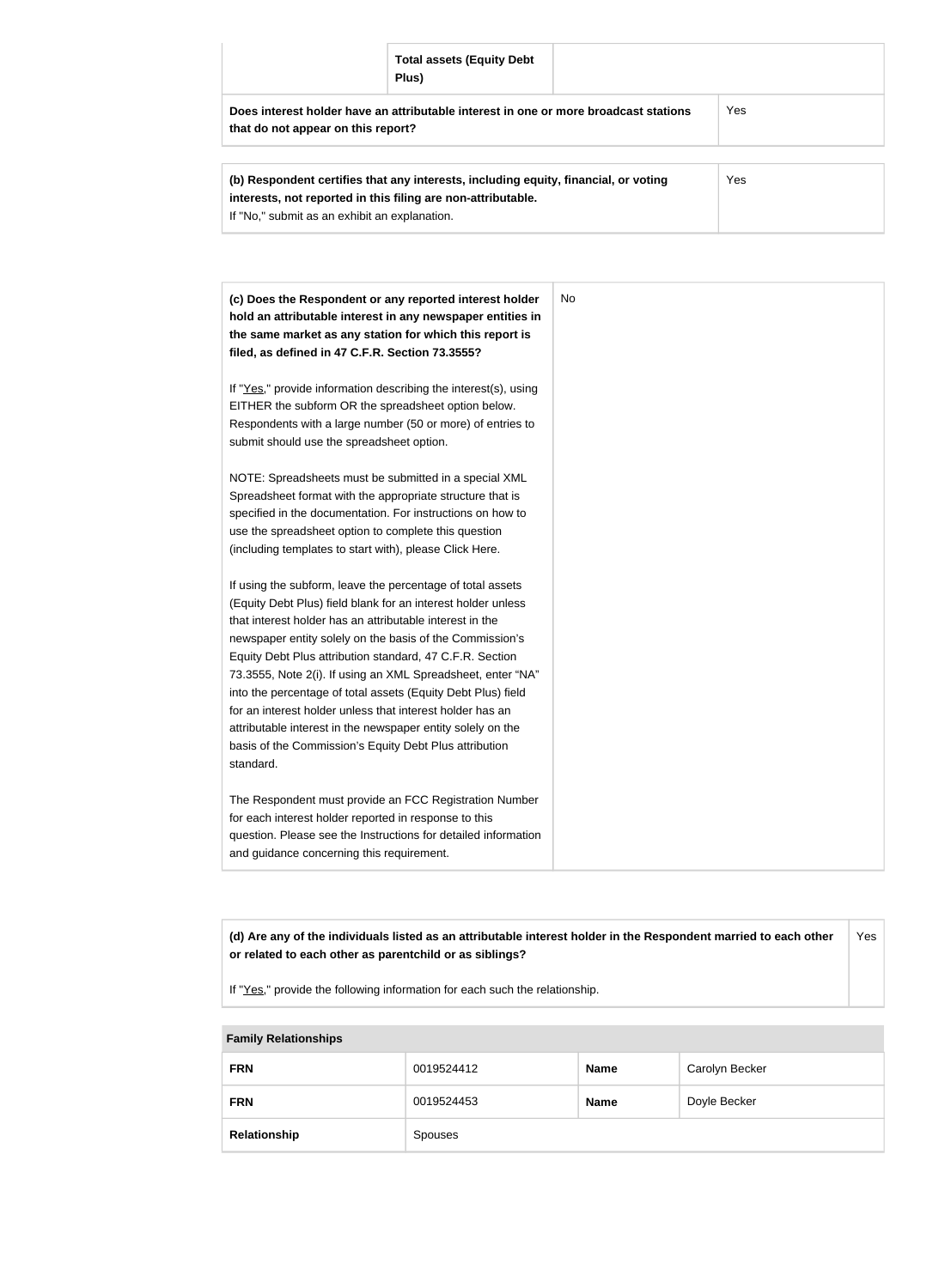|                                                                                                                            | <b>Total assets (Equity Debt</b><br>Plus) |  |     |  |  |
|----------------------------------------------------------------------------------------------------------------------------|-------------------------------------------|--|-----|--|--|
| Does interest holder have an attributable interest in one or more broadcast stations<br>that do not appear on this report? |                                           |  | Yes |  |  |
| Yes<br>(b) Respondent certifies that any interests, including equity, financial, or voting                                 |                                           |  |     |  |  |

| in the spondent certified that any interests, including equity, infancial, or voting | ט ו |
|--------------------------------------------------------------------------------------|-----|
| interests, not reported in this filing are non-attributable.                         |     |
| If "No," submit as an exhibit an explanation.                                        |     |
|                                                                                      |     |

| (c) Does the Respondent or any reported interest holder         | No. |
|-----------------------------------------------------------------|-----|
| hold an attributable interest in any newspaper entities in      |     |
| the same market as any station for which this report is         |     |
| filed, as defined in 47 C.F.R. Section 73.3555?                 |     |
| If "Yes," provide information describing the interest(s), using |     |
| EITHER the subform OR the spreadsheet option below.             |     |
| Respondents with a large number (50 or more) of entries to      |     |
| submit should use the spreadsheet option.                       |     |
| NOTE: Spreadsheets must be submitted in a special XML           |     |
| Spreadsheet format with the appropriate structure that is       |     |
| specified in the documentation. For instructions on how to      |     |
| use the spreadsheet option to complete this question            |     |
| (including templates to start with), please Click Here.         |     |
| If using the subform, leave the percentage of total assets      |     |
| (Equity Debt Plus) field blank for an interest holder unless    |     |
| that interest holder has an attributable interest in the        |     |
| newspaper entity solely on the basis of the Commission's        |     |
| Equity Debt Plus attribution standard, 47 C.F.R. Section        |     |
| 73.3555, Note 2(i). If using an XML Spreadsheet, enter "NA"     |     |
| into the percentage of total assets (Equity Debt Plus) field    |     |
| for an interest holder unless that interest holder has an       |     |
| attributable interest in the newspaper entity solely on the     |     |
| basis of the Commission's Equity Debt Plus attribution          |     |
| standard.                                                       |     |
| The Respondent must provide an FCC Registration Number          |     |
| for each interest holder reported in response to this           |     |
| question. Please see the Instructions for detailed information  |     |
| and guidance concerning this requirement.                       |     |

**(d) Are any of the individuals listed as an attributable interest holder in the Respondent married to each other or related to each other as parentchild or as siblings?** Yes

If "Yes," provide the following information for each such the relationship.

| <b>Family Relationships</b> |            |             |                |  |  |
|-----------------------------|------------|-------------|----------------|--|--|
| <b>FRN</b>                  | 0019524412 | <b>Name</b> | Carolyn Becker |  |  |
| <b>FRN</b>                  | 0019524453 | <b>Name</b> | Doyle Becker   |  |  |
| Relationship                | Spouses    |             |                |  |  |